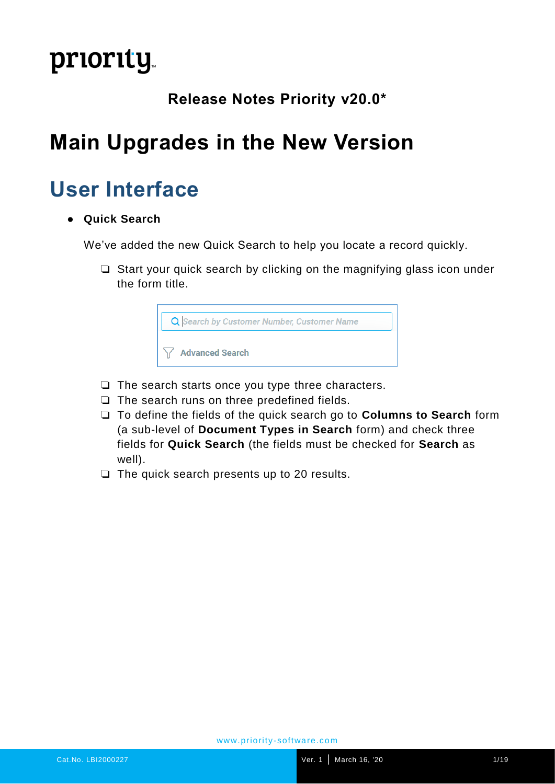# priority.

#### **Release Notes Priority v20.0\***

## **Main Upgrades in the New Version**

## **User Interface**

● **Quick Search**

We've added the new Quick Search to help you locate a record quickly.

❏ Start your quick search by clicking on the magnifying glass icon under the form title.



- ❏ The search starts once you type three characters.
- ❏ The search runs on three predefined fields.
- ❏ To define the fields of the quick search go to **Columns to Search** form (a sub-level of **Document Types in Search** form) and check three fields for **Quick Search** (the fields must be checked for **Search** as well).
- ❏ The quick search presents up to 20 results.

www.priority-software.com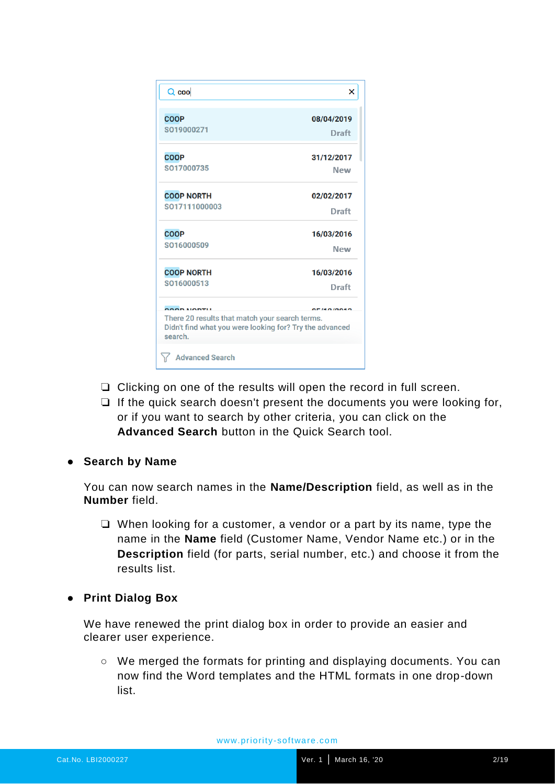| Q coo                                                                                                                | ×          |
|----------------------------------------------------------------------------------------------------------------------|------------|
| <b>COOP</b>                                                                                                          | 08/04/2019 |
| SO19000271                                                                                                           | Draft      |
| <b>COOP</b>                                                                                                          | 31/12/2017 |
| SO17000735                                                                                                           | <b>New</b> |
| <b>COOP NORTH</b>                                                                                                    | 02/02/2017 |
| S017111000003                                                                                                        | Draft      |
| <b>COOP</b>                                                                                                          | 16/03/2016 |
| SO16000509                                                                                                           | New        |
| <b>COOP NORTH</b>                                                                                                    | 16/03/2016 |
| SO16000513                                                                                                           | Draft      |
| COOP HOPTH                                                                                                           | 14010040   |
| There 20 results that match your search terms.<br>Didn't find what you were looking for? Try the advanced<br>search. |            |
| <b>Advanced Search</b>                                                                                               |            |

- ❏ Clicking on one of the results will open the record in full screen.
- ❏ If the quick search doesn't present the documents you were looking for, or if you want to search by other criteria, you can click on the **Advanced Search** button in the Quick Search tool.
- **Search by Name**

You can now search names in the **Name/Description** field, as well as in the **Number** field.

- ❏ When looking for a customer, a vendor or a part by its name, type the name in the **Name** field (Customer Name, Vendor Name etc.) or in the **Description** field (for parts, serial number, etc.) and choose it from the results list.
- **Print Dialog Box**

We have renewed the print dialog box in order to provide an easier and clearer user experience.

○ We merged the formats for printing and displaying documents. You can now find the Word templates and the HTML formats in one drop-down list.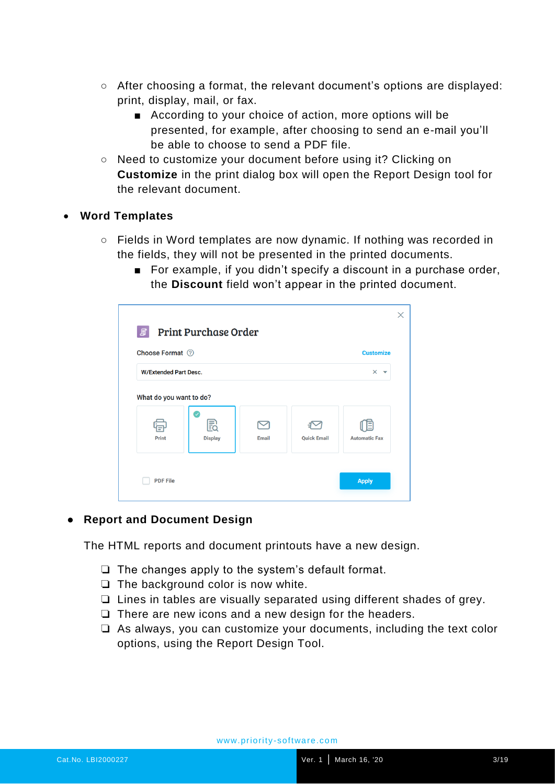- After choosing a format, the relevant document's options are displayed: print, display, mail, or fax.
	- According to your choice of action, more options will be presented, for example, after choosing to send an e-mail you'll be able to choose to send a PDF file.
- Need to customize your document before using it? Clicking on **Customize** in the print dialog box will open the Report Design tool for the relevant document.
- **Word Templates**
	- Fields in Word templates are now dynamic. If nothing was recorded in the fields, they will not be presented in the printed documents.
		- For example, if you didn't specify a discount in a purchase order, the **Discount** field won't appear in the printed document.

| 冒                            | <b>Print Purchase Order</b> |       |                    | X                         |
|------------------------------|-----------------------------|-------|--------------------|---------------------------|
| Choose Format 2              |                             |       |                    | <b>Customize</b>          |
| <b>W/Extended Part Desc.</b> |                             |       |                    | $\times$ $\sim$           |
| What do you want to do?      |                             |       |                    |                           |
| Print                        | B<br><b>Display</b>         | Email | <b>Quick Email</b> | E<br><b>Automatic Fax</b> |
| <b>PDF File</b>              |                             |       |                    | <b>Apply</b>              |

#### ● **Report and Document Design**

The HTML reports and document printouts have a new design.

- ❏ The changes apply to the system's default format.
- ❏ The background color is now white.
- ❏ Lines in tables are visually separated using different shades of grey.
- ❏ There are new icons and a new design for the headers.
- ❏ As always, you can customize your documents, including the text color options, using the Report Design Tool.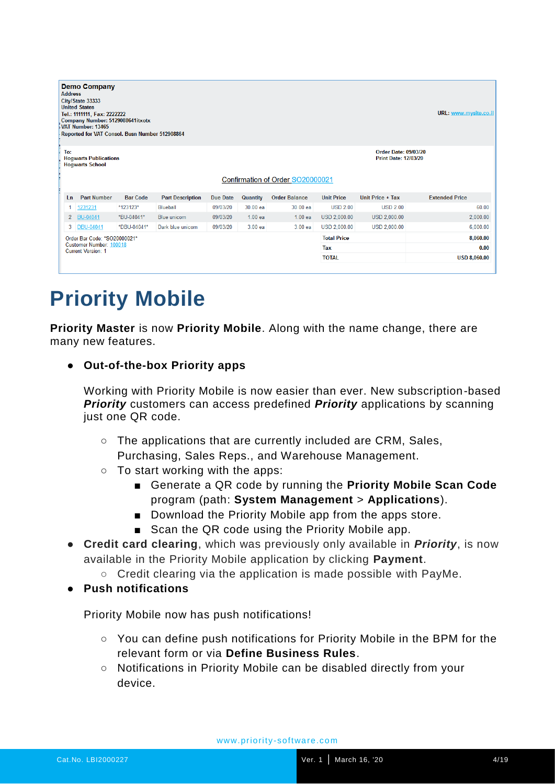| <b>Address</b> | <b>Demo Company</b><br>City/State 33333<br><b>United States</b><br>Tel.: 1111111, Fax: 2222222<br>Company Number: 5129088641itxotx<br>VAT Number: 13465<br>Reported for VAT Consol. Busn Number 512908864 |                 |                         |                 |                 |                                  |                    |                                                            | URL: www.mysite.co.il |
|----------------|-----------------------------------------------------------------------------------------------------------------------------------------------------------------------------------------------------------|-----------------|-------------------------|-----------------|-----------------|----------------------------------|--------------------|------------------------------------------------------------|-----------------------|
| To:            | <b>Hogwarts Publications</b><br><b>Hogwarts School</b>                                                                                                                                                    |                 |                         |                 |                 |                                  |                    | <b>Order Date: 09/03/20</b><br><b>Print Date: 12/03/20</b> |                       |
|                |                                                                                                                                                                                                           |                 |                         |                 |                 | Confirmation of Order SO20000021 |                    |                                                            |                       |
| Ln.            | <b>Part Number</b>                                                                                                                                                                                        | <b>Bar Code</b> | <b>Part Description</b> | <b>Due Date</b> | <b>Quantity</b> | <b>Order Balance</b>             | <b>Unit Price</b>  | Unit Price + Tax                                           | <b>Extended Price</b> |
| 1              | 1231231                                                                                                                                                                                                   | *123123*        | Blueball                | 09/03/20        | 30.00 ea        | 30.00 ea                         | <b>USD 2.00</b>    | <b>USD 2.00</b>                                            | 60.00                 |
| $\overline{2}$ | BU-04041                                                                                                                                                                                                  | *BU-04041*      | <b>Blue unicorn</b>     | 09/03/20        | 1.00ea          | 1.00ea                           | USD 2,000.00       | USD 2,000.00                                               | 2,000.00              |
| 3              | <b>DBU-04041</b>                                                                                                                                                                                          | *DBU-04041*     | Dark blue unicorn       | 09/03/20        | 3.00ea          | 3.00ea                           | USD 2,000.00       | USD 2,000.00                                               | 6,000.00              |
|                | Order Bar Code: *SO20000021*                                                                                                                                                                              |                 |                         |                 |                 |                                  | <b>Total Price</b> |                                                            | 8,060.00              |
|                | Customer Number: 100018<br><b>Current Version: 1</b>                                                                                                                                                      |                 |                         |                 |                 |                                  | Tax                |                                                            | 0.00                  |
|                |                                                                                                                                                                                                           |                 |                         |                 |                 |                                  | <b>TOTAL</b>       |                                                            | <b>USD 8,060.00</b>   |
|                |                                                                                                                                                                                                           |                 |                         |                 |                 |                                  |                    |                                                            |                       |

## **Priority Mobile**

**Priority Master** is now **Priority Mobile**. Along with the name change, there are many new features.

● **Out-of-the-box Priority apps**

Working with Priority Mobile is now easier than ever. New subscription-based *Priority* customers can access predefined *Priority* applications by scanning just one QR code.

- The applications that are currently included are CRM, Sales, Purchasing, Sales Reps., and Warehouse Management.
- To start working with the apps:
	- Generate a QR code by running the **Priority Mobile Scan Code** program (path: **System Management** > **Applications**).
	- Download the Priority Mobile app from the apps store.
	- Scan the QR code using the Priority Mobile app.
- **Credit card clearing**, which was previously only available in *Priority*, is now available in the Priority Mobile application by clicking **Payment**.
	- Credit clearing via the application is made possible with PayMe.
- **Push notifications**

Priority Mobile now has push notifications!

- You can define push notifications for Priority Mobile in the BPM for the relevant form or via **Define Business Rules**.
- Notifications in Priority Mobile can be disabled directly from your device.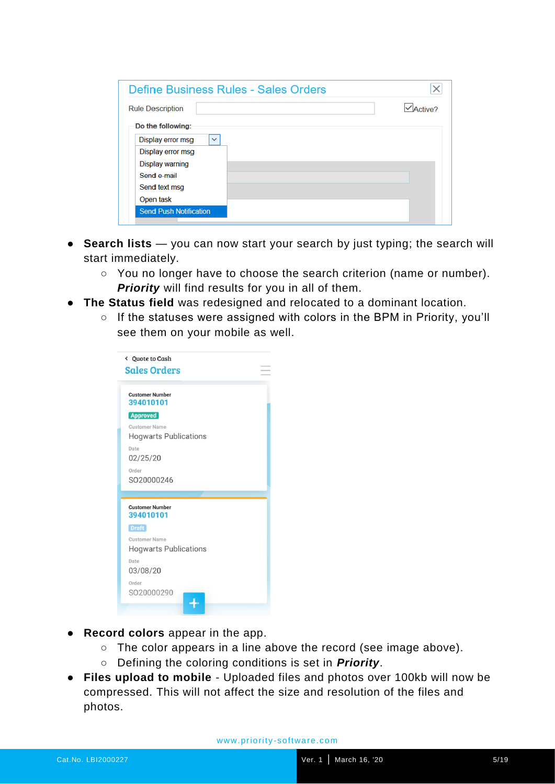| Define Business Rules - Sales Orders |                |
|--------------------------------------|----------------|
| <b>Rule Description</b>              | $\vee$ Active? |
| Do the following:                    |                |
| Display error msg<br>$\checkmark$    |                |
| Display error msg                    |                |
| Display warning                      |                |
| Send e-mail                          |                |
| Send text msg                        |                |
| Open task                            |                |
| <b>Send Push Notification</b>        |                |
|                                      |                |

- **Search lists** you can now start your search by just typing; the search will start immediately.
	- You no longer have to choose the search criterion (name or number). *Priority* will find results for you in all of them.
- **The Status field** was redesigned and relocated to a dominant location.
	- If the statuses were assigned with colors in the BPM in Priority, you'll see them on your mobile as well.

| <b>Sales Orders</b>                                  |  |
|------------------------------------------------------|--|
| <b>Customer Number</b><br>394010101                  |  |
| <b>Approved</b>                                      |  |
| <b>Customer Name</b>                                 |  |
| <b>Hogwarts Publications</b>                         |  |
| Date                                                 |  |
| 02/25/20                                             |  |
| Order                                                |  |
|                                                      |  |
|                                                      |  |
| SO20000246                                           |  |
| <b>Customer Number</b><br>394010101                  |  |
| <b>Draft</b>                                         |  |
|                                                      |  |
| <b>Customer Name</b><br><b>Hogwarts Publications</b> |  |
| Date                                                 |  |
| 03/08/20                                             |  |
| Order                                                |  |

- **Record colors** appear in the app.
	- The color appears in a line above the record (see image above).
	- Defining the coloring conditions is set in *Priority*.
- **Files upload to mobile** Uploaded files and photos over 100kb will now be compressed. This will not affect the size and resolution of the files and photos.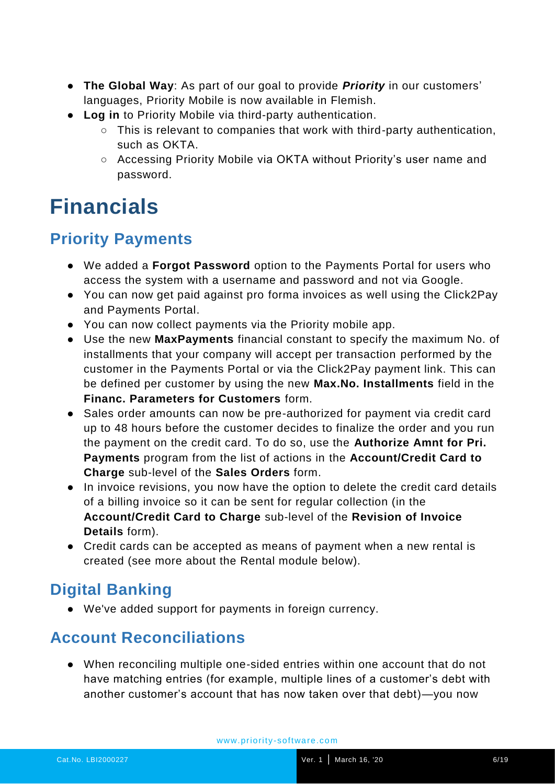- **The Global Way**: As part of our goal to provide *Priority* in our customers' languages, Priority Mobile is now available in Flemish.
- **Log in** to Priority Mobile via third-party authentication.
	- This is relevant to companies that work with third-party authentication, such as OKTA.
	- Accessing Priority Mobile via OKTA without Priority's user name and password.

## **Financials**

### **Priority Payments**

- We added a **Forgot Password** option to the Payments Portal for users who access the system with a username and password and not via Google.
- You can now get paid against pro forma invoices as well using the Click2Pay and Payments Portal.
- You can now collect payments via the Priority mobile app.
- Use the new **MaxPayments** financial constant to specify the maximum No. of installments that your company will accept per transaction performed by the customer in the Payments Portal or via the Click2Pay payment link. This can be defined per customer by using the new **Max.No. Installments** field in the **Financ. Parameters for Customers** form.
- Sales order amounts can now be pre-authorized for payment via credit card up to 48 hours before the customer decides to finalize the order and you run the payment on the credit card. To do so, use the **Authorize Amnt for Pri. Payments** program from the list of actions in the **Account/Credit Card to Charge** sub-level of the **Sales Orders** form.
- In invoice revisions, you now have the option to delete the credit card details of a billing invoice so it can be sent for regular collection (in the **Account/Credit Card to Charge** sub-level of the **Revision of Invoice Details** form).
- Credit cards can be accepted as means of payment when a new rental is created (see more about the Rental module below).

### **Digital Banking**

● We've added support for payments in foreign currency.

### **Account Reconciliations**

● When reconciling multiple one-sided entries within one account that do not have matching entries (for example, multiple lines of a customer's debt with another customer's account that has now taken over that debt)—you now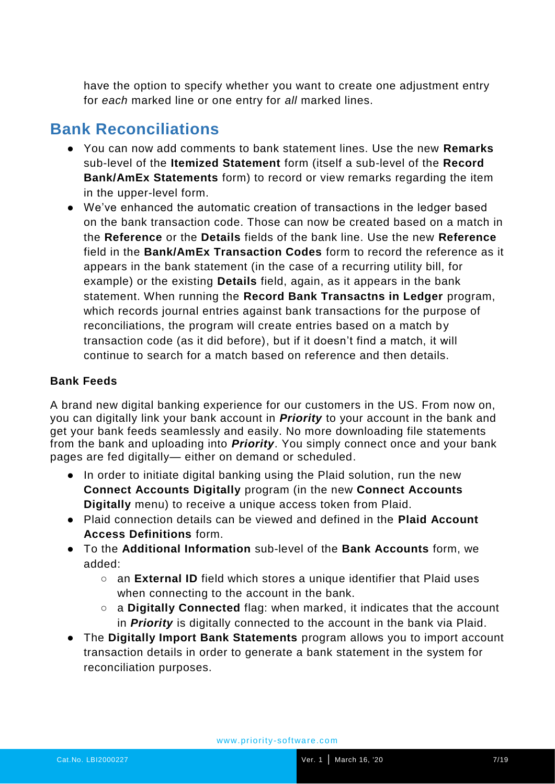have the option to specify whether you want to create one adjustment entry for *each* marked line or one entry for *all* marked lines.

#### **Bank Reconciliations**

- You can now add comments to bank statement lines. Use the new **Remarks** sub-level of the **Itemized Statement** form (itself a sub-level of the **Record Bank/AmEx Statements** form) to record or view remarks regarding the item in the upper-level form.
- We've enhanced the automatic creation of transactions in the ledger based on the bank transaction code. Those can now be created based on a match in the **Reference** or the **Details** fields of the bank line. Use the new **Reference** field in the **Bank/AmEx Transaction Codes** form to record the reference as it appears in the bank statement (in the case of a recurring utility bill, for example) or the existing **Details** field, again, as it appears in the bank statement. When running the **Record Bank Transactns in Ledger** program, which records journal entries against bank transactions for the purpose of reconciliations, the program will create entries based on a match by transaction code (as it did before), but if it doesn't find a match, it will continue to search for a match based on reference and then details.

#### **Bank Feeds**

A brand new digital banking experience for our customers in the US. From now on, you can digitally link your bank account in *Priority* to your account in the bank and get your bank feeds seamlessly and easily. No more downloading file statements from the bank and uploading into *Priority*. You simply connect once and your bank pages are fed digitally— either on demand or scheduled.

- In order to initiate digital banking using the Plaid solution, run the new **Connect Accounts Digitally** program (in the new **Connect Accounts Digitally** menu) to receive a unique access token from Plaid.
- Plaid connection details can be viewed and defined in the **Plaid Account Access Definitions** form.
- To the **Additional Information** sub-level of the **Bank Accounts** form, we added:
	- an **External ID** field which stores a unique identifier that Plaid uses when connecting to the account in the bank.
	- a **Digitally Connected** flag: when marked, it indicates that the account in *Priority* is digitally connected to the account in the bank via Plaid.
- The **Digitally Import Bank Statements** program allows you to import account transaction details in order to generate a bank statement in the system for reconciliation purposes.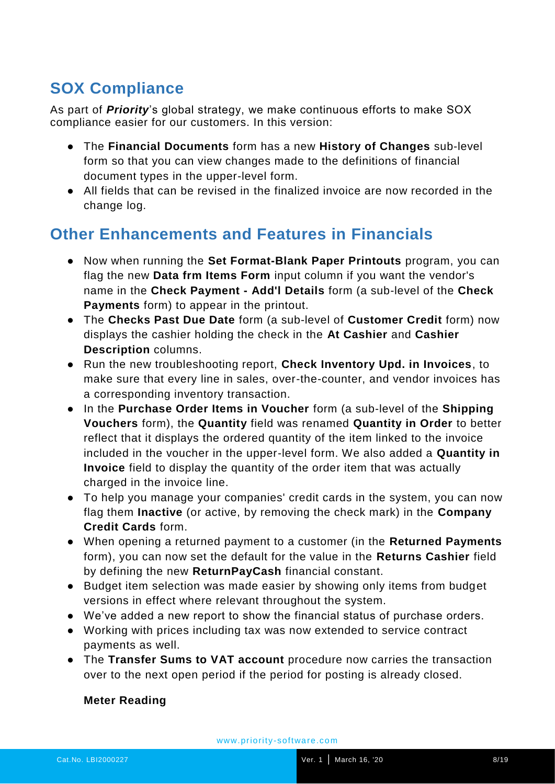### **SOX Compliance**

As part of *Priority*'s global strategy, we make continuous efforts to make SOX compliance easier for our customers. In this version:

- The **Financial Documents** form has a new **History of Changes** sub-level form so that you can view changes made to the definitions of financial document types in the upper-level form.
- All fields that can be revised in the finalized invoice are now recorded in the change log.

### **Other Enhancements and Features in Financials**

- Now when running the **Set Format-Blank Paper Printouts** program, you can flag the new **Data frm Items Form** input column if you want the vendor's name in the **Check Payment - Add'l Details** form (a sub-level of the **Check Payments** form) to appear in the printout.
- The **Checks Past Due Date** form (a sub-level of **Customer Credit** form) now displays the cashier holding the check in the **At Cashier** and **Cashier Description** columns.
- Run the new troubleshooting report, **Check Inventory Upd. in Invoices**, to make sure that every line in sales, over-the-counter, and vendor invoices has a corresponding inventory transaction.
- In the **Purchase Order Items in Voucher** form (a sub-level of the **Shipping Vouchers** form), the **Quantity** field was renamed **Quantity in Order** to better reflect that it displays the ordered quantity of the item linked to the invoice included in the voucher in the upper-level form. We also added a **Quantity in Invoice** field to display the quantity of the order item that was actually charged in the invoice line.
- To help you manage your companies' credit cards in the system, you can now flag them **Inactive** (or active, by removing the check mark) in the **Company Credit Cards** form.
- When opening a returned payment to a customer (in the **Returned Payments** form), you can now set the default for the value in the **Returns Cashier** field by defining the new **ReturnPayCash** financial constant.
- Budget item selection was made easier by showing only items from budget versions in effect where relevant throughout the system.
- We've added a new report to show the financial status of purchase orders.
- Working with prices including tax was now extended to service contract payments as well.
- The **Transfer Sums to VAT account** procedure now carries the transaction over to the next open period if the period for posting is already closed.

#### **Meter Reading**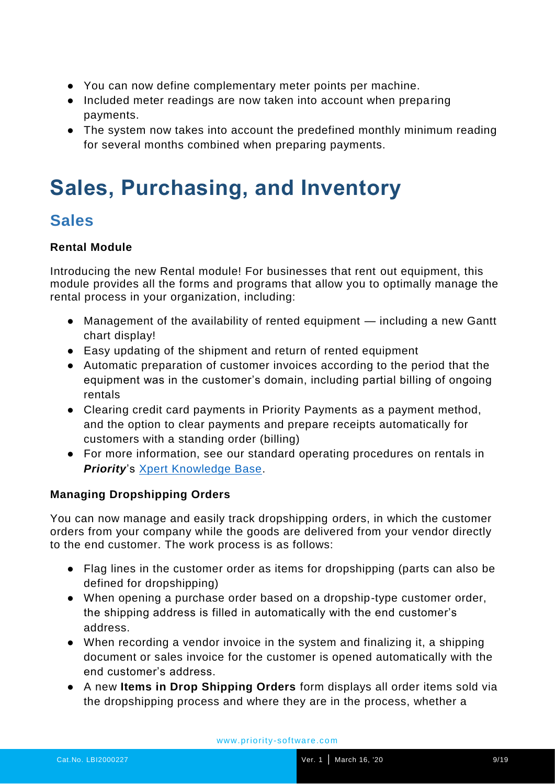- You can now define complementary meter points per machine.
- Included meter readings are now taken into account when preparing payments.
- The system now takes into account the predefined monthly minimum reading for several months combined when preparing payments.

## **Sales, Purchasing, and Inventory**

#### **Sales**

#### **Rental Module**

Introducing the new Rental module! For businesses that rent out equipment, this module provides all the forms and programs that allow you to optimally manage the rental process in your organization, including:

- Management of the availability of rented equipment including a new Gantt chart display!
- Easy updating of the shipment and return of rented equipment
- Automatic preparation of customer invoices according to the period that the equipment was in the customer's domain, including partial billing of ongoing rentals
- Clearing credit card payments in Priority Payments as a payment method, and the option to clear payments and prepare receipts automatically for customers with a standing order (billing)
- For more information, see our standard operating procedures on rentals in **Priority's [Xpert Knowledge Base.](https://support.priority-software.com/#/kb)**

#### **Managing Dropshipping Orders**

You can now manage and easily track dropshipping orders, in which the customer orders from your company while the goods are delivered from your vendor directly to the end customer. The work process is as follows:

- Flag lines in the customer order as items for dropshipping (parts can also be defined for dropshipping)
- When opening a purchase order based on a dropship-type customer order, the shipping address is filled in automatically with the end customer's address.
- When recording a vendor invoice in the system and finalizing it, a shipping document or sales invoice for the customer is opened automatically with the end customer's address.
- A new **Items in Drop Shipping Orders** form displays all order items sold via the dropshipping process and where they are in the process, whether a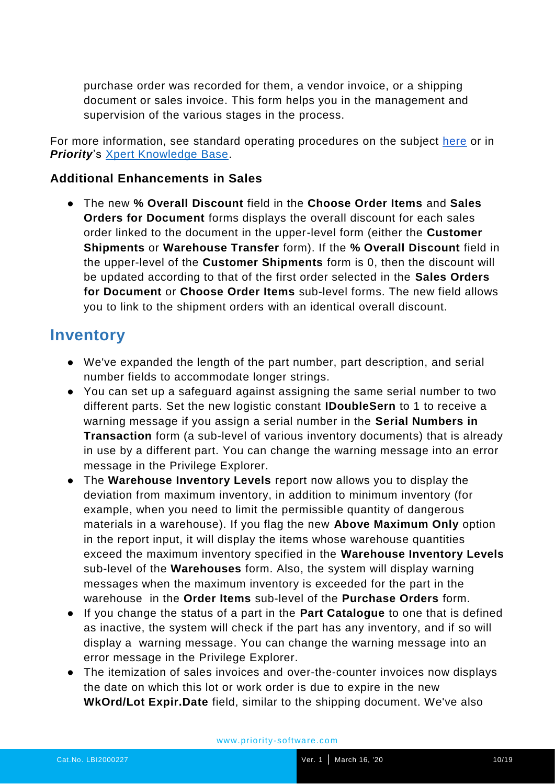purchase order was recorded for them, a vendor invoice, or a shipping document or sales invoice. This form helps you in the management and supervision of the various stages in the process.

For more information, see standard operating procedures on the subject [here](https://prapp.priority-software.com/primail/library/SOP_Dropshipping_20_0_E.pdf) or in **Priority's [Xpert Knowledge Base.](https://support.priority-software.com/#/kb)** 

#### **Additional Enhancements in Sales**

● The new **% Overall Discount** field in the **Choose Order Items** and **Sales Orders for Document** forms displays the overall discount for each sales order linked to the document in the upper-level form (either the **Customer Shipments** or **Warehouse Transfer** form). If the **% Overall Discount** field in the upper-level of the **Customer Shipments** form is 0, then the discount will be updated according to that of the first order selected in the **Sales Orders for Document** or **Choose Order Items** sub-level forms. The new field allows you to link to the shipment orders with an identical overall discount.

#### **Inventory**

- We've expanded the length of the part number, part description, and serial number fields to accommodate longer strings.
- You can set up a safeguard against assigning the same serial number to two different parts. Set the new logistic constant **IDoubleSern** to 1 to receive a warning message if you assign a serial number in the **Serial Numbers in Transaction** form (a sub-level of various inventory documents) that is already in use by a different part. You can change the warning message into an error message in the Privilege Explorer.
- The **Warehouse Inventory Levels** report now allows you to display the deviation from maximum inventory, in addition to minimum inventory (for example, when you need to limit the permissible quantity of dangerous materials in a warehouse). If you flag the new **Above Maximum Only** option in the report input, it will display the items whose warehouse quantities exceed the maximum inventory specified in the **Warehouse Inventory Levels** sub-level of the **Warehouses** form. Also, the system will display warning messages when the maximum inventory is exceeded for the part in the warehouse in the **Order Items** sub-level of the **Purchase Orders** form.
- If you change the status of a part in the **Part Catalogue** to one that is defined as inactive, the system will check if the part has any inventory, and if so will display a warning message. You can change the warning message into an error message in the Privilege Explorer.
- The itemization of sales invoices and over-the-counter invoices now displays the date on which this lot or work order is due to expire in the new **WkOrd/Lot Expir.Date** field, similar to the shipping document. We've also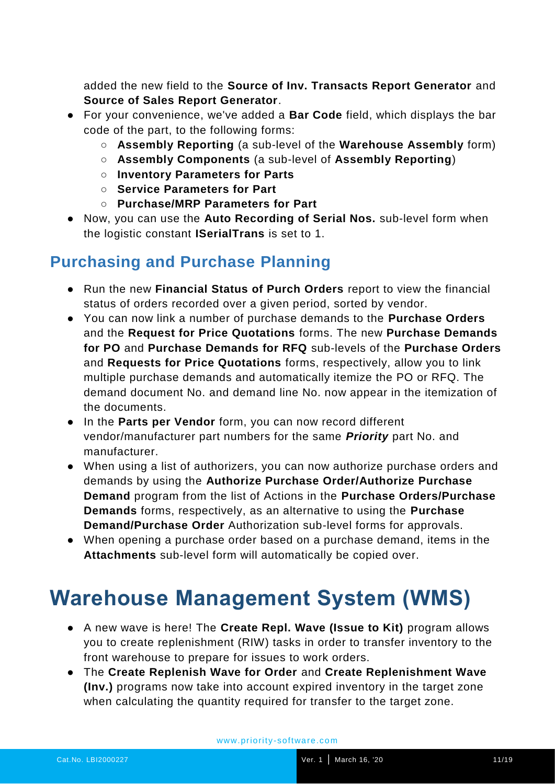added the new field to the **Source of Inv. Transacts Report Generator** and **Source of Sales Report Generator**.

- For your convenience, we've added a **Bar Code** field, which displays the bar code of the part, to the following forms:
	- **Assembly Reporting** (a sub-level of the **Warehouse Assembly** form)
	- **Assembly Components** (a sub-level of **Assembly Reporting**)
	- **Inventory Parameters for Parts**
	- **Service Parameters for Part**
	- **Purchase/MRP Parameters for Part**
- Now, you can use the **Auto Recording of Serial Nos.** sub-level form when the logistic constant **ISerialTrans** is set to 1.

### **Purchasing and Purchase Planning**

- Run the new **Financial Status of Purch Orders** report to view the financial status of orders recorded over a given period, sorted by vendor.
- You can now link a number of purchase demands to the **Purchase Orders** and the **Request for Price Quotations** forms. The new **Purchase Demands for PO** and **Purchase Demands for RFQ** sub-levels of the **Purchase Orders** and **Requests for Price Quotations** forms, respectively, allow you to link multiple purchase demands and automatically itemize the PO or RFQ. The demand document No. and demand line No. now appear in the itemization of the documents.
- In the **Parts per Vendor** form, you can now record different vendor/manufacturer part numbers for the same *Priority* part No. and manufacturer.
- When using a list of authorizers, you can now authorize purchase orders and demands by using the **Authorize Purchase Order/Authorize Purchase Demand** program from the list of Actions in the **Purchase Orders/Purchase Demands** forms, respectively, as an alternative to using the **Purchase Demand/Purchase Order** Authorization sub-level forms for approvals.
- When opening a purchase order based on a purchase demand, items in the **Attachments** sub-level form will automatically be copied over.

## **Warehouse Management System (WMS)**

- A new wave is here! The **Create Repl. Wave (Issue to Kit)** program allows you to create replenishment (RIW) tasks in order to transfer inventory to the front warehouse to prepare for issues to work orders.
- The **Create Replenish Wave for Order** and **Create Replenishment Wave (Inv.)** programs now take into account expired inventory in the target zone when calculating the quantity required for transfer to the target zone.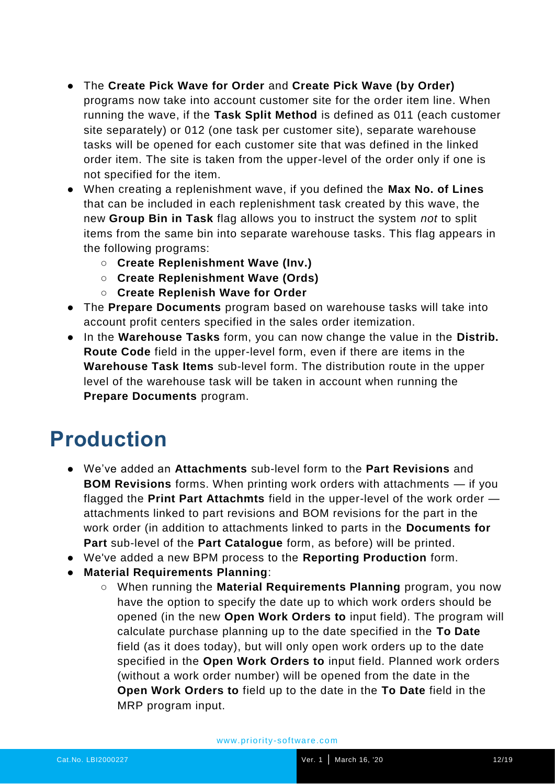#### ● The **Create Pick Wave for Order** and **Create Pick Wave (by Order)**

programs now take into account customer site for the order item line. When running the wave, if the **Task Split Method** is defined as 011 (each customer site separately) or 012 (one task per customer site), separate warehouse tasks will be opened for each customer site that was defined in the linked order item. The site is taken from the upper-level of the order only if one is not specified for the item.

- When creating a replenishment wave, if you defined the **Max No. of Lines** that can be included in each replenishment task created by this wave, the new **Group Bin in Task** flag allows you to instruct the system *not* to split items from the same bin into separate warehouse tasks. This flag appears in the following programs:
	- **Create Replenishment Wave (Inv.)**
	- **Create Replenishment Wave (Ords)**
	- **Create Replenish Wave for Order**
- The **Prepare Documents** program based on warehouse tasks will take into account profit centers specified in the sales order itemization.
- In the **Warehouse Tasks** form, you can now change the value in the **Distrib. Route Code** field in the upper-level form, even if there are items in the **Warehouse Task Items** sub-level form. The distribution route in the upper level of the warehouse task will be taken in account when running the **Prepare Documents** program.

## **Production**

- We've added an **Attachments** sub-level form to the **Part Revisions** and **BOM Revisions** forms. When printing work orders with attachments — if you flagged the **Print Part Attachmts** field in the upper-level of the work order attachments linked to part revisions and BOM revisions for the part in the work order (in addition to attachments linked to parts in the **Documents for Part** sub-level of the **Part Catalogue** form, as before) will be printed.
- We've added a new BPM process to the **Reporting Production** form.
- **Material Requirements Planning**:
	- When running the **Material Requirements Planning** program, you now have the option to specify the date up to which work orders should be opened (in the new **Open Work Orders to** input field). The program will calculate purchase planning up to the date specified in the **To Date** field (as it does today), but will only open work orders up to the date specified in the **Open Work Orders to** input field. Planned work orders (without a work order number) will be opened from the date in the **Open Work Orders to** field up to the date in the **To Date** field in the MRP program input.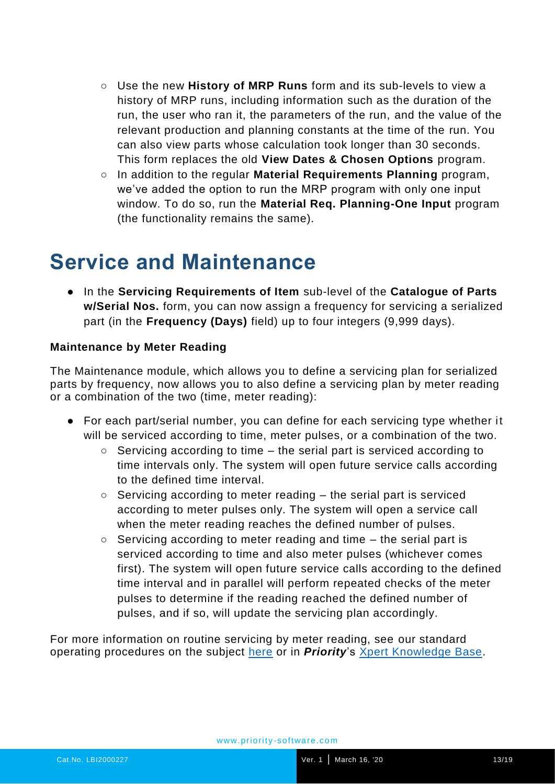- Use the new **History of MRP Runs** form and its sub-levels to view a history of MRP runs, including information such as the duration of the run, the user who ran it, the parameters of the run, and the value of the relevant production and planning constants at the time of the run. You can also view parts whose calculation took longer than 30 seconds. This form replaces the old **View Dates & Chosen Options** program.
- In addition to the regular **Material Requirements Planning** program, we've added the option to run the MRP program with only one input window. To do so, run the **Material Req. Planning-One Input** program (the functionality remains the same).

## **Service and Maintenance**

● In the **Servicing Requirements of Item** sub-level of the **Catalogue of Parts w/Serial Nos.** form, you can now assign a frequency for servicing a serialized part (in the **Frequency (Days)** field) up to four integers (9,999 days).

#### **Maintenance by Meter Reading**

The Maintenance module, which allows you to define a servicing plan for serialized parts by frequency, now allows you to also define a servicing plan by meter reading or a combination of the two (time, meter reading):

- For each part/serial number, you can define for each servicing type whether it will be serviced according to time, meter pulses, or a combination of the two.
	- $\circ$  Servicing according to time the serial part is serviced according to time intervals only. The system will open future service calls according to the defined time interval.
	- $\circ$  Servicing according to meter reading the serial part is serviced according to meter pulses only. The system will open a service call when the meter reading reaches the defined number of pulses.
	- $\circ$  Servicing according to meter reading and time  $-$  the serial part is serviced according to time and also meter pulses (whichever comes first). The system will open future service calls according to the defined time interval and in parallel will perform repeated checks of the meter pulses to determine if the reading reached the defined number of pulses, and if so, will update the servicing plan accordingly.

For more information on routine servicing by meter reading, see our [s](https://prapp.priority-software.com/primail/library/SOP_Servicing_19_1_E.pdf)tandard operating procedures on the subject [here](https://prapp.priority-software.com/primail/library/SOP_Servicing_19_1_E.pdf) or in *Priority*'s [Xpert Knowledge Base.](https://support.priority-software.com/#/kb)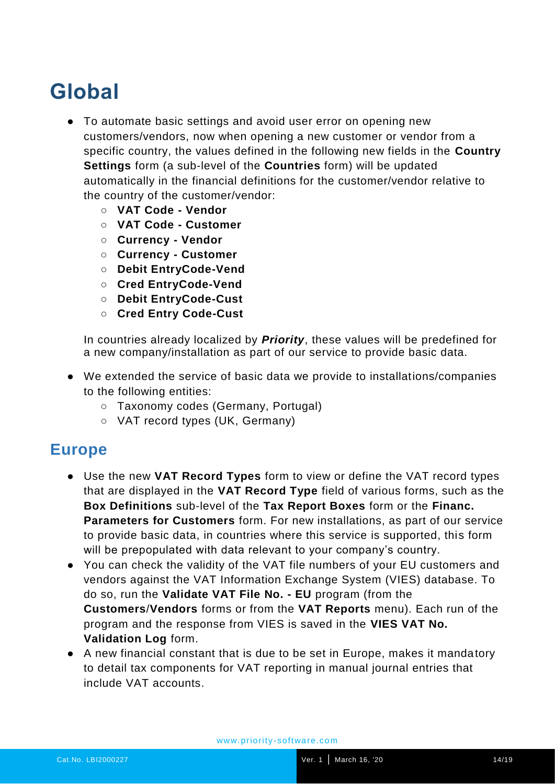## **Global**

- To automate basic settings and avoid user error on opening new customers/vendors, now when opening a new customer or vendor from a specific country, the values defined in the following new fields in the **Country Settings** form (a sub-level of the **Countries** form) will be updated automatically in the financial definitions for the customer/vendor relative to the country of the customer/vendor:
	- **VAT Code - Vendor**
	- **VAT Code - Customer**
	- **Currency - Vendor**
	- **Currency - Customer**
	- **Debit EntryCode-Vend**
	- **Cred EntryCode-Vend**
	- **Debit EntryCode-Cust**
	- **Cred Entry Code-Cust**

In countries already localized by *Priority*, these values will be predefined for a new company/installation as part of our service to provide basic data.

- We extended the service of basic data we provide to installations/companies to the following entities:
	- Taxonomy codes (Germany, Portugal)
	- VAT record types (UK, Germany)

#### **Europe**

- Use the new **VAT Record Types** form to view or define the VAT record types that are displayed in the **VAT Record Type** field of various forms, such as the **Box Definitions** sub-level of the **Tax Report Boxes** form or the **Financ. Parameters for Customers** form. For new installations, as part of our service to provide basic data, in countries where this service is supported, this form will be prepopulated with data relevant to your company's country.
- You can check the validity of the VAT file numbers of your EU customers and vendors against the VAT Information Exchange System (VIES) database. To do so, run the **Validate VAT File No. - EU** program (from the **Customers**/**Vendors** forms or from the **VAT Reports** menu). Each run of the program and the response from VIES is saved in the **VIES VAT No. Validation Log** form.
- A new financial constant that is due to be set in Europe, makes it mandatory to detail tax components for VAT reporting in manual journal entries that include VAT accounts.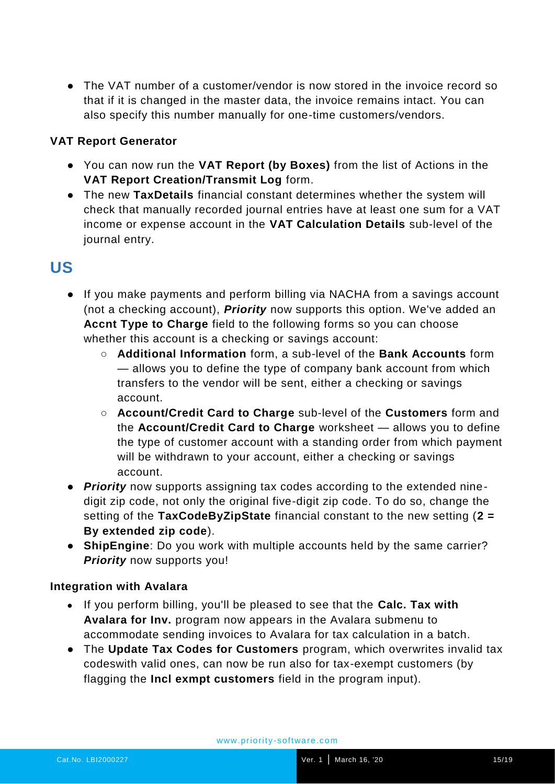● The VAT number of a customer/vendor is now stored in the invoice record so that if it is changed in the master data, the invoice remains intact. You can also specify this number manually for one-time customers/vendors.

#### **VAT Report Generator**

- You can now run the **VAT Report (by Boxes)** from the list of Actions in the **VAT Report Creation/Transmit Log** form.
- The new **TaxDetails** financial constant determines whether the system will check that manually recorded journal entries have at least one sum for a VAT income or expense account in the **VAT Calculation Details** sub-level of the journal entry.

#### **US**

- If you make payments and perform billing via NACHA from a savings account (not a checking account), *Priority* now supports this option. We've added an **Accnt Type to Charge** field to the following forms so you can choose whether this account is a checking or savings account:
	- **Additional Information** form, a sub-level of the **Bank Accounts** form — allows you to define the type of company bank account from which transfers to the vendor will be sent, either a checking or savings account.
	- **Account/Credit Card to Charge** sub-level of the **Customers** form and the **Account/Credit Card to Charge** worksheet — allows you to define the type of customer account with a standing order from which payment will be withdrawn to your account, either a checking or savings account.
- *Priority* now supports assigning tax codes according to the extended ninedigit zip code, not only the original five-digit zip code. To do so, change the setting of the **TaxCodeByZipState** financial constant to the new setting (**2 = By extended zip code**).
- **ShipEngine**: Do you work with multiple accounts held by the same carrier? *Priority* now supports you!

#### **Integration with Avalara**

- If you perform billing, you'll be pleased to see that the **Calc. Tax with Avalara for Inv.** program now appears in the Avalara submenu to accommodate sending invoices to Avalara for tax calculation in a batch.
- The **Update Tax Codes for Customers** program, which overwrites invalid tax codeswith valid ones, can now be run also for tax-exempt customers (by flagging the **Incl exmpt customers** field in the program input).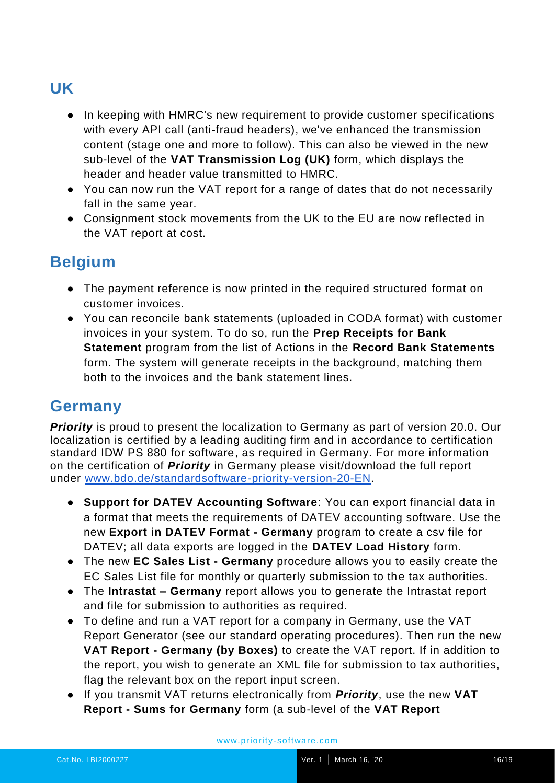### **UK**

- In keeping with HMRC's new requirement to provide customer specifications with every API call (anti-fraud headers), we've enhanced the transmission content (stage one and more to follow). This can also be viewed in the new sub-level of the **VAT Transmission Log (UK)** form, which displays the header and header value transmitted to HMRC.
- You can now run the VAT report for a range of dates that do not necessarily fall in the same year.
- Consignment stock movements from the UK to the EU are now reflected in the VAT report at cost.

### **Belgium**

- The payment reference is now printed in the required structured format on customer invoices.
- You can reconcile bank statements (uploaded in CODA format) with customer invoices in your system. To do so, run the **Prep Receipts for Bank Statement** program from the list of Actions in the **Record Bank Statements** form. The system will generate receipts in the background, matching them both to the invoices and the bank statement lines.

#### **Germany**

**Priority** is proud to present the localization to Germany as part of version 20.0. Our localization is certified by a leading auditing firm and in accordance to certification standard IDW PS 880 for software, as required in Germany. For more information on the certification of *Priority* in Germany please visit/download the full report under [www.bdo.de/standardsoftware-priority-version-20-EN.](http://www.bdo.de/standardsoftware-priority-version-20-EN)

- **Support for DATEV Accounting Software**: You can export financial data in a format that meets the requirements of DATEV accounting software. Use the new **Export in DATEV Format - Germany** program to create a csv file for DATEV; all data exports are logged in the **DATEV Load History** form.
- The new **EC Sales List - Germany** procedure allows you to easily create the EC Sales List file for monthly or quarterly submission to the tax authorities.
- The **Intrastat – Germany** report allows you to generate the Intrastat report and file for submission to authorities as required.
- To define and run a VAT report for a company in Germany, use the VAT Report Generator (see our standard operating procedures). Then run the new **VAT Report - Germany (by Boxes)** to create the VAT report. If in addition to the report, you wish to generate an XML file for submission to tax authorities, flag the relevant box on the report input screen.
- If you transmit VAT returns electronically from *Priority*, use the new **VAT Report - Sums for Germany** form (a sub-level of the **VAT Report**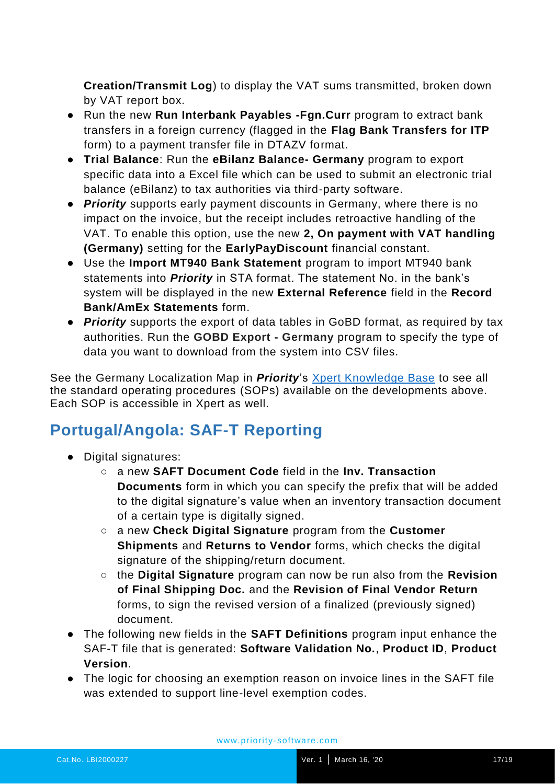**Creation/Transmit Log**) to display the VAT sums transmitted, broken down by VAT report box.

- Run the new **Run Interbank Payables -Fgn.Curr** program to extract bank transfers in a foreign currency (flagged in the **Flag Bank Transfers for ITP** form) to a payment transfer file in DTAZV format.
- **Trial Balance**: Run the **eBilanz Balance- Germany** program to export specific data into a Excel file which can be used to submit an electronic trial balance (eBilanz) to tax authorities via third-party software.
- *Priority* supports early payment discounts in Germany, where there is no impact on the invoice, but the receipt includes retroactive handling of the VAT. To enable this option, use the new **2, On payment with VAT handling (Germany)** setting for the **EarlyPayDiscount** financial constant.
- Use the **Import MT940 Bank Statement** program to import MT940 bank statements into *Priority* in STA format. The statement No. in the bank's system will be displayed in the new **External Reference** field in the **Record Bank/AmEx Statements** form.
- *Priority* supports the export of data tables in GoBD format, as required by tax authorities. Run the **GOBD Export - Germany** program to specify the type of data you want to download from the system into CSV files.

See the Germany Localization Map in *Priority*'s [Xpert Knowledge Base](https://support.priority-software.com/#/kb) to see all the standard operating procedures (SOPs) available on the developments above. Each SOP is accessible in Xpert as well.

### **Portugal/Angola: SAF-T Reporting**

- Digital signatures:
	- a new **SAFT Document Code** field in the **Inv. Transaction Documents** form in which you can specify the prefix that will be added to the digital signature's value when an inventory transaction document of a certain type is digitally signed.
	- a new **Check Digital Signature** program from the **Customer Shipments** and **Returns to Vendor** forms, which checks the digital signature of the shipping/return document.
	- the **Digital Signature** program can now be run also from the **Revision of Final Shipping Doc.** and the **Revision of Final Vendor Return** forms, to sign the revised version of a finalized (previously signed) document.
- The following new fields in the **SAFT Definitions** program input enhance the SAF-T file that is generated: **Software Validation No.**, **Product ID**, **Product Version**.
- The logic for choosing an exemption reason on invoice lines in the SAFT file was extended to support line-level exemption codes.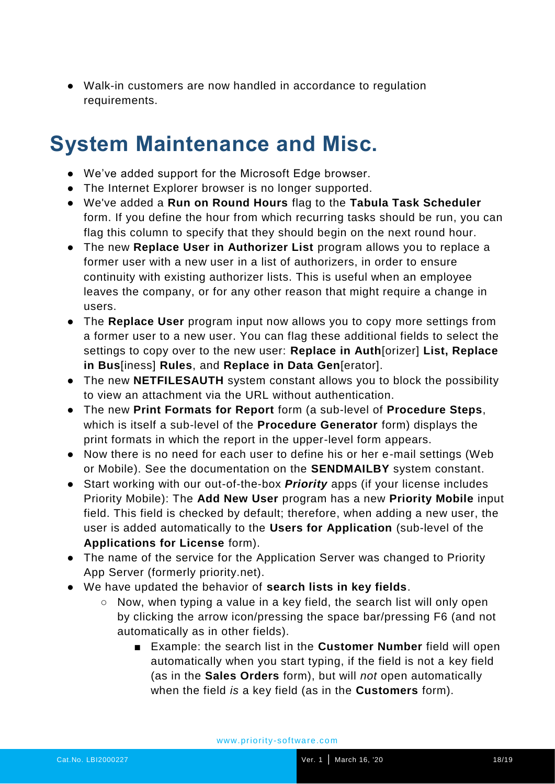● Walk-in customers are now handled in accordance to regulation requirements.

## **System Maintenance and Misc.**

- We've added support for the Microsoft Edge browser.
- The Internet Explorer browser is no longer supported.
- We've added a **Run on Round Hours** flag to the **Tabula Task Scheduler** form. If you define the hour from which recurring tasks should be run, you can flag this column to specify that they should begin on the next round hour.
- The new **Replace User in Authorizer List** program allows you to replace a former user with a new user in a list of authorizers, in order to ensure continuity with existing authorizer lists. This is useful when an employee leaves the company, or for any other reason that might require a change in users.
- The **Replace User** program input now allows you to copy more settings from a former user to a new user. You can flag these additional fields to select the settings to copy over to the new user: **Replace in Auth**[orizer] **List, Replace in Bus**[iness] **Rules**, and **Replace in Data Gen**[erator].
- The new **NETFILESAUTH** system constant allows you to block the possibility to view an attachment via the URL without authentication.
- The new **Print Formats for Report** form (a sub-level of **Procedure Steps**, which is itself a sub-level of the **Procedure Generator** form) displays the print formats in which the report in the upper-level form appears.
- Now there is no need for each user to define his or her e-mail settings (Web or Mobile). See the documentation on the **SENDMAILBY** system constant.
- Start working with our out-of-the-box *Priority* apps (if your license includes Priority Mobile): The **Add New User** program has a new **Priority Mobile** input field. This field is checked by default; therefore, when adding a new user, the user is added automatically to the **Users for Application** (sub-level of the **Applications for License** form).
- The name of the service for the Application Server was changed to Priority App Server (formerly priority.net).
- We have updated the behavior of **search lists in key fields**.
	- Now, when typing a value in a key field, the search list will only open by clicking the arrow icon/pressing the space bar/pressing F6 (and not automatically as in other fields).
		- Example: the search list in the **Customer Number** field will open automatically when you start typing, if the field is not a key field (as in the **Sales Orders** form), but will *not* open automatically when the field *is* a key field (as in the **Customers** form).